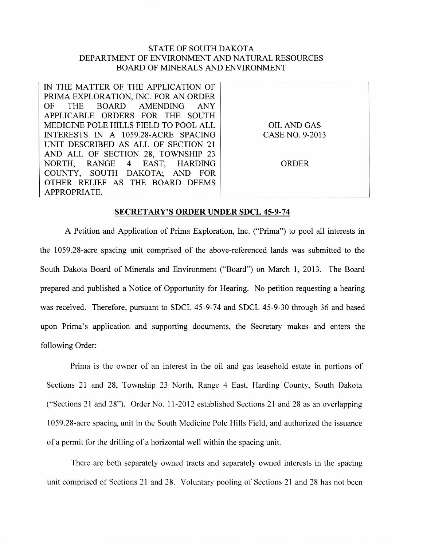## STATE OF SOUTH DAKOTA DEPARTMENT OF ENVIRONMENT AND NATURAL RESOURCES BOARD OF MINERALS AND ENVIRONMENT

| IN THE MATTER OF THE APPLICATION OF   |                 |
|---------------------------------------|-----------------|
| PRIMA EXPLORATION, INC. FOR AN ORDER  |                 |
| OF THE BOARD AMENDING ANY             |                 |
| APPLICABLE ORDERS FOR THE SOUTH       |                 |
| MEDICINE POLE HILLS FIELD TO POOL ALL | OIL AND GAS     |
| INTERESTS IN A 1059.28-ACRE SPACING   | CASE NO. 9-2013 |
| UNIT DESCRIBED AS ALL OF SECTION 21   |                 |
| AND ALL OF SECTION 28, TOWNSHIP 23    |                 |
| NORTH, RANGE 4 EAST, HARDING          | ORDER           |
| COUNTY, SOUTH DAKOTA; AND FOR         |                 |
| OTHER RELIEF AS THE BOARD DEEMS       |                 |
| APPROPRIATE.                          |                 |

## **SECRETARY'S ORDER UNDER SDCL 45-9-74**

A Petition and Application of Prima Exploration, Inc. ("Prima") to pool all interests in the 1059.28-acre spacing unit comprised of the above-referenced lands was submitted to the South Dakota Board of Minerals and Environment ("Board") on March 1, 2013. The Board prepared and published a Notice of Opportunity for Hearing. No petition requesting a hearing was received. Therefore, pursuant to SDCL 45-9-74 and SDCL 45-9-30 through 36 and based upon Prima's application and supporting documents, the Secretary makes and enters the following Order:

Prima is the owner of an interest in the oil and gas leasehold estate in portions of Sections 21 and 28, Township 23 North, Range 4 East, Harding County, South Dakota ("Sections 21 and 28"). Order No. 11-2012 established Sections 21 and 28 as an overlapping 1059.28-acre spacing unit in the South Medicine Pole Hills Field, and authorized the issuance of a permit for the drilling of a horizontal well within the spacing unit.

There are both separately owned tracts and separately owned interests in the spacing unit comprised of Sections 21 and 28. Voluntary pooling of Sections 21 and 28 has not been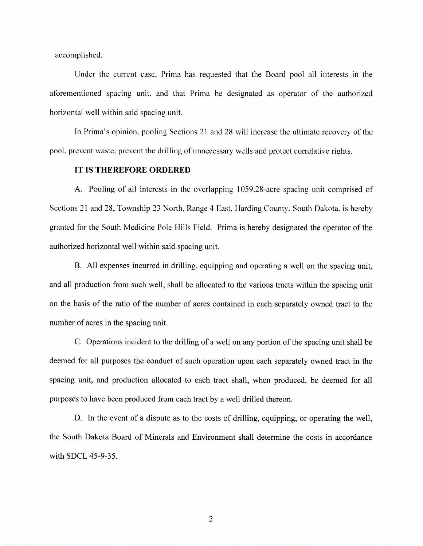accomplished.

Under the current case, Prima has requested that the Board pool all interests in the aforementioned spacing unit, and that Prima be designated as operator of the authorized horizontal well within said spacing unit.

In Prima's opinion, pooling Sections 21 and 28 will increase the ultimate recovery of the pool, prevent waste, prevent the drilling of unnecessary wells and protect correlative rights.

## **IT IS THEREFORE ORDERED**

A. Pooling of all interests in the overlapping 1059.28-acre spacing unit comprised of Sections 21 and 28, Township 23 North, Range 4 East, Harding County, South Dakota, is hereby granted for the South Medicine Pole Hills Field. Prima is hereby designated the operator of the authorized horizontal well within said spacing unit.

B. All expenses incurred in drilling, equipping and operating a well on the spacing unit, and all production from such well, shall be allocated to the various tracts within the spacing unit on the basis of the ratio of the number of acres contained in each separately owned tract to the number of acres in the spacing unit.

C. Operations incident to the drilling of a well on any portion of the spacing unit shall be deemed for all purposes the conduct of such operation upon each separately owned tract in the spacing unit, and production allocated to each tract shall, when produced, be deemed for all purposes to have been produced from each tract by a well drilled thereon.

D. In the event of a dispute as to the costs of drilling, equipping, or operating the well, the South Dakota Board of Minerals and Environment shall determine the costs in accordance with SDCL 45-9-35.

2